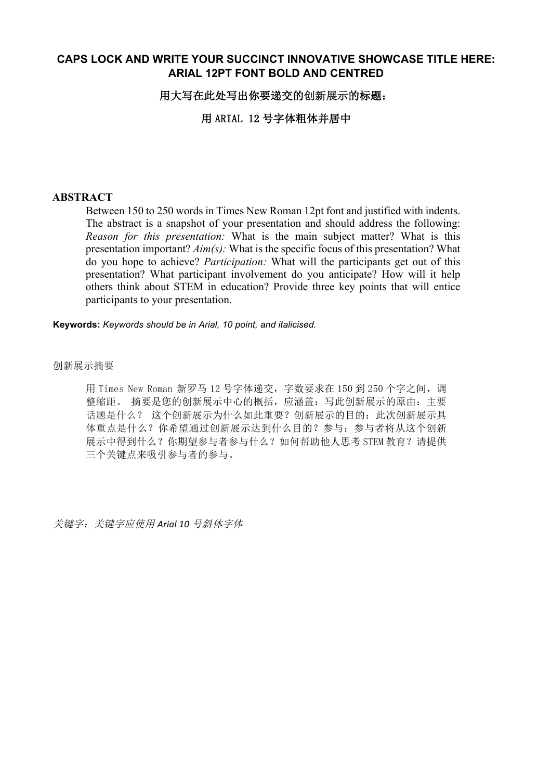# **CAPS LOCK AND WRITE YOUR SUCCINCT INNOVATIVE SHOWCASE TITLE HERE: ARIAL 12PT FONT BOLD AND CENTRED**

### 用大写在此处写出你要递交的创新展示的标题:

用 ARIAL 12 号字体粗体并居中

#### **ABSTRACT**

Between 150 to 250 words in Times New Roman 12pt font and justified with indents. The abstract is a snapshot of your presentation and should address the following: *Reason for this presentation:* What is the main subject matter? What is this presentation important? *Aim(s):* What is the specific focus of this presentation? What do you hope to achieve? *Participation:* What will the participants get out of this presentation? What participant involvement do you anticipate? How will it help others think about STEM in education? Provide three key points that will entice participants to your presentation.

**Keywords:** *Keywords should be in Arial, 10 point, and italicised.*

#### 创新展示摘要

用 Times New Roman 新罗马 12 号字体递交, 字数要求在 150 到 250 个字之间, 调 整缩距。摘要是您的创新展示中心的概括,应涵盖:写此创新展示的原由:主要 话题是什么? 这个创新展示为什么如此重要?创新展示的目的:此次创新展示具 体重点是什么?你希望通过创新展示达到什么目的?参与:参与者将从这个创新 展示中得到什么?你期望参与者参与什么?如何帮助他人思考 STEM 教育?请提供 三个关键点来吸引参与者的参与。

关键字: 关键字应使用 Arial 10 号斜体字体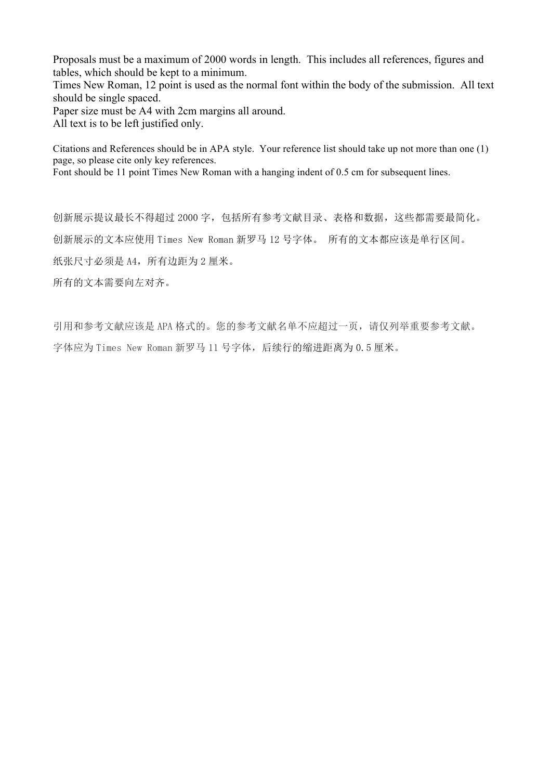Proposals must be a maximum of 2000 words in length. This includes all references, figures and tables, which should be kept to a minimum.

Times New Roman, 12 point is used as the normal font within the body of the submission. All text should be single spaced.

Paper size must be A4 with 2cm margins all around.

All text is to be left justified only.

Citations and References should be in APA style. Your reference list should take up not more than one (1) page, so please cite only key references.

Font should be 11 point Times New Roman with a hanging indent of 0.5 cm for subsequent lines.

创新展示ᨀ议最长不得超过 2000 字,包括所有参考文献目录、表格和数据,这些都需要最简化。 创新展示的文本应使用 Times New Roman 新罗马 12 号字体。 所有的文本都应该是单行区间。 纸张尺寸必须是 A4, 所有边距为 2 厘米。 所有的文本需要向左对齐。

引用和参考文献应该是 APA 格式的。您的参考文献名单不应超过一页,请仅列举重要参考文献。 字体应为 Times New Roman 新罗马 11 号字体, 后续行的缩进距离为 0.5 厘米。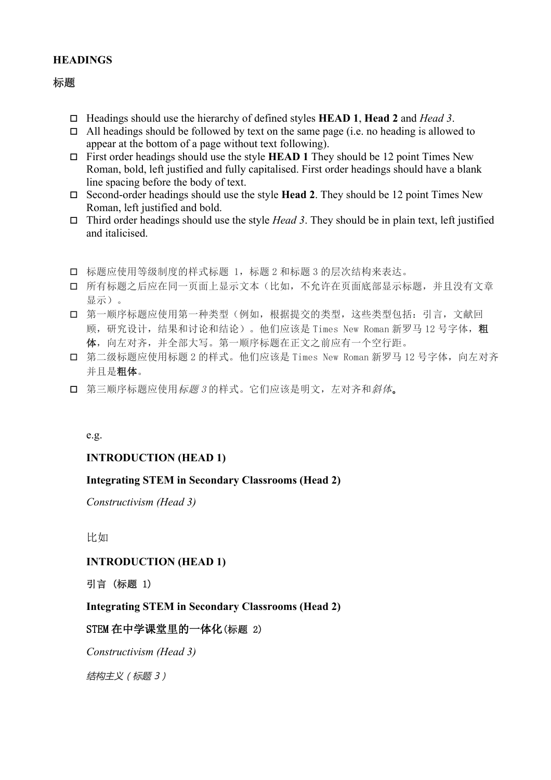# **HEADINGS**

# 标题

- o Headings should use the hierarchy of defined styles **HEAD 1**, **Head 2** and *Head 3*.
- $\Box$  All headings should be followed by text on the same page (i.e. no heading is allowed to appear at the bottom of a page without text following).
- $\Box$  First order headings should use the style **HEAD 1** They should be 12 point Times New Roman, bold, left justified and fully capitalised. First order headings should have a blank line spacing before the body of text.
- $\Box$  Second-order headings should use the style **Head 2**. They should be 12 point Times New Roman, left justified and bold.
- $\Box$  Third order headings should use the style *Head 3*. They should be in plain text, left justified and italicised.
- o 标题应使用等级制度的样式标题 1,标题 2 和标题 3 的层次结构来表达。
- o 所有标题之后应在同一页面上显示文本(比如,不允许在页面底部显示标题,并且没有文章 显示)。
- o 第一顺序标题应使用第一种类型(例如,根据ᨀ交的类型,这些类型包括:引言,文献回 顾,研究设计,结果和讨论和结论)。他们应该是 Times New Roman 新罗马 12 号字体,粗 体,向左对齐,并全部大写。第一顺序标题在正文之前应有一个空行距。
- o 第二级标题应使用标题 2 的样式。他们应该是 Times New Roman 新罗马 12 号字体,向左对齐 并且是粗体。
- o 第三顺序标题应使用标题 <sup>3</sup> 的样式。它们应该是明文,左对齐和斜体。

#### e.g.

### **INTRODUCTION (HEAD 1)**

### **Integrating STEM in Secondary Classrooms (Head 2)**

*Constructivism (Head 3)* 

比如

### **INTRODUCTION (HEAD 1)**

引言 (标题 1)

### **Integrating STEM in Secondary Classrooms (Head 2)**

### STEM 在中学课堂里的一体化(标题 2)

*Constructivism (Head 3)*

结构主义(标题 3)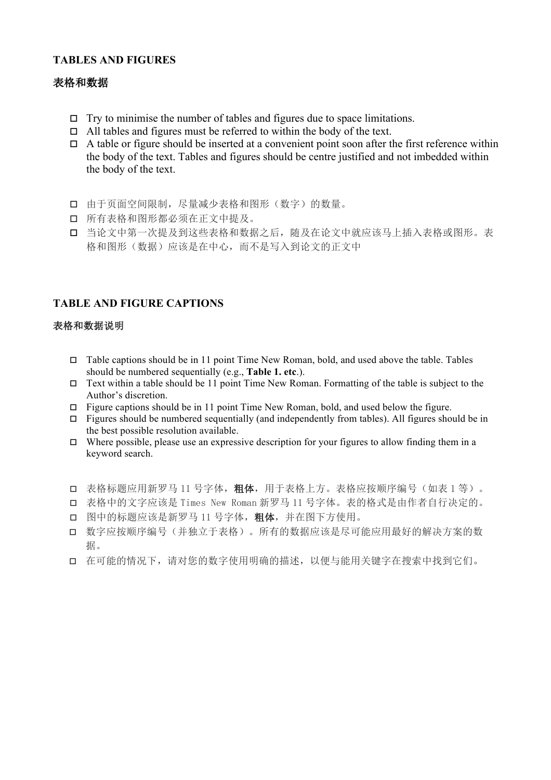# **TABLES AND FIGURES**

# 表格和数据

- $\Box$  Try to minimise the number of tables and figures due to space limitations.
- $\Box$  All tables and figures must be referred to within the body of the text.
- $\Box$  A table or figure should be inserted at a convenient point soon after the first reference within the body of the text. Tables and figures should be centre justified and not imbedded within the body of the text.
- o 由于页面空间限制,尽量减少表格和图形(数字)的数量。
- 口 所有表格和图形都必须在正文中提及。
- o 当论文中第一次ᨀ及到这些表格和数据之后,随及在论文中就应该马上插入表格或图形。表 格和图形(数据)应该是在中心,而不是写入到论文的正文中

# **TABLE AND FIGURE CAPTIONS**

#### 表格和数据说明

- $\Box$  Table captions should be in 11 point Time New Roman, bold, and used above the table. Tables should be numbered sequentially (e.g., **Table 1. etc**.).
- $\Box$  Text within a table should be 11 point Time New Roman. Formatting of the table is subject to the Author's discretion.
- $\Box$  Figure captions should be in 11 point Time New Roman, bold, and used below the figure.
- $\Box$  Figures should be numbered sequentially (and independently from tables). All figures should be in the best possible resolution available.
- $\Box$  Where possible, please use an expressive description for your figures to allow finding them in a keyword search.
- □ 表格标题应用新罗马 11 号字体, 粗体, 用于表格上方。表格应按顺序编号(如表 1 等)。
- o 表格中的文字应该是 Times New Roman 新罗马 11 号字体。表的格式是由作者自行决定的。
- o 图中的标题应该是新罗马 11 号字体,粗体,并在图下方使用。
- o 数字应按顺序编号(并独立于表格)。所有的数据应该是尽可能应用最好的解决方案的数 据。
- o 在可能的情况下,请对您的数字使用明确的᧿述,以便与能用关键字在搜索中找到它们。